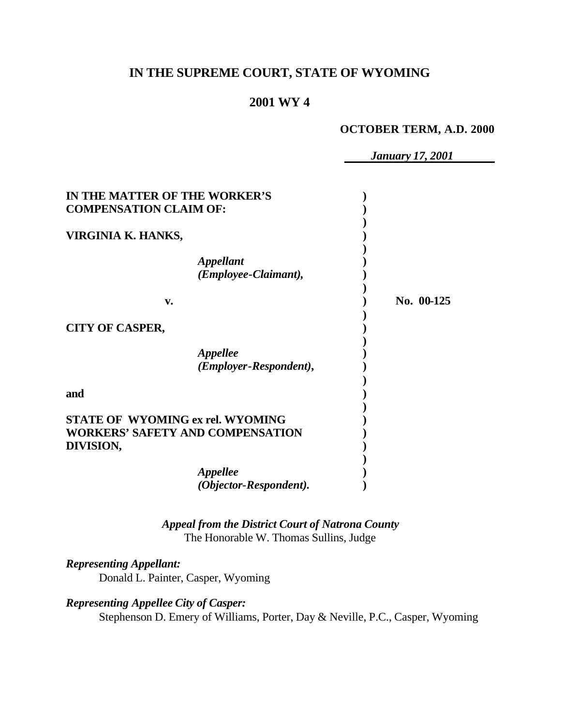# **IN THE SUPREME COURT, STATE OF WYOMING**

# **2001 WY 4**

#### **OCTOBER TERM, A.D. 2000**

*January 17, 2001*

| IN THE MATTER OF THE WORKER'S<br><b>COMPENSATION CLAIM OF:</b>                                  |                                                  |            |
|-------------------------------------------------------------------------------------------------|--------------------------------------------------|------------|
| VIRGINIA K. HANKS,                                                                              |                                                  |            |
|                                                                                                 | <i><b>Appellant</b></i><br>(Employee-Claimant),  |            |
| v.                                                                                              |                                                  | No. 00-125 |
| <b>CITY OF CASPER,</b>                                                                          |                                                  |            |
|                                                                                                 | <i><b>Appellee</b></i><br>(Employer-Respondent), |            |
| and                                                                                             |                                                  |            |
| <b>STATE OF WYOMING ex rel. WYOMING</b><br><b>WORKERS' SAFETY AND COMPENSATION</b><br>DIVISION, |                                                  |            |
|                                                                                                 | <i><b>Appellee</b></i><br>(Objector-Respondent). |            |

## *Appeal from the District Court of Natrona County* The Honorable W. Thomas Sullins, Judge

### *Representing Appellant:*

Donald L. Painter, Casper, Wyoming

### *Representing Appellee City of Casper:*

Stephenson D. Emery of Williams, Porter, Day & Neville, P.C., Casper, Wyoming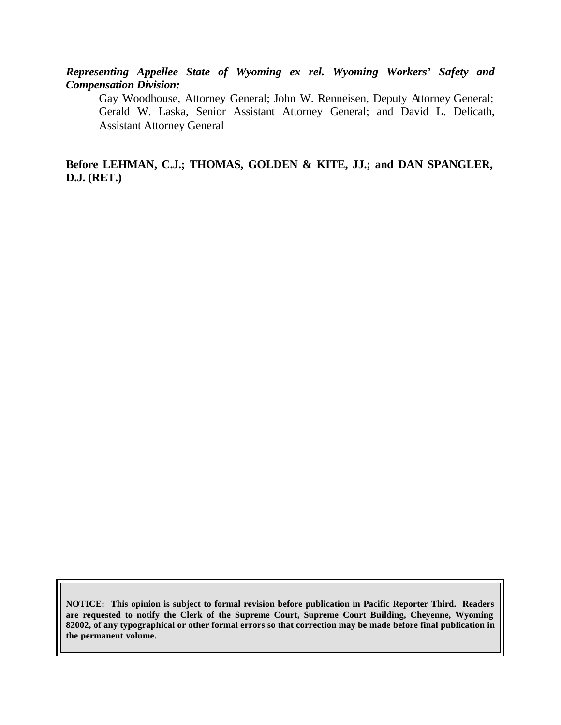*Representing Appellee State of Wyoming ex rel. Wyoming Workers' Safety and Compensation Division:*

Gay Woodhouse, Attorney General; John W. Renneisen, Deputy Attorney General; Gerald W. Laska, Senior Assistant Attorney General; and David L. Delicath, Assistant Attorney General

**Before LEHMAN, C.J.; THOMAS, GOLDEN & KITE, JJ.; and DAN SPANGLER, D.J. (RET.)**

**NOTICE: This opinion is subject to formal revision before publication in Pacific Reporter Third. Readers are requested to notify the Clerk of the Supreme Court, Supreme Court Building, Cheyenne, Wyoming 82002, of any typographical or other formal errors so that correction may be made before final publication in the permanent volume.**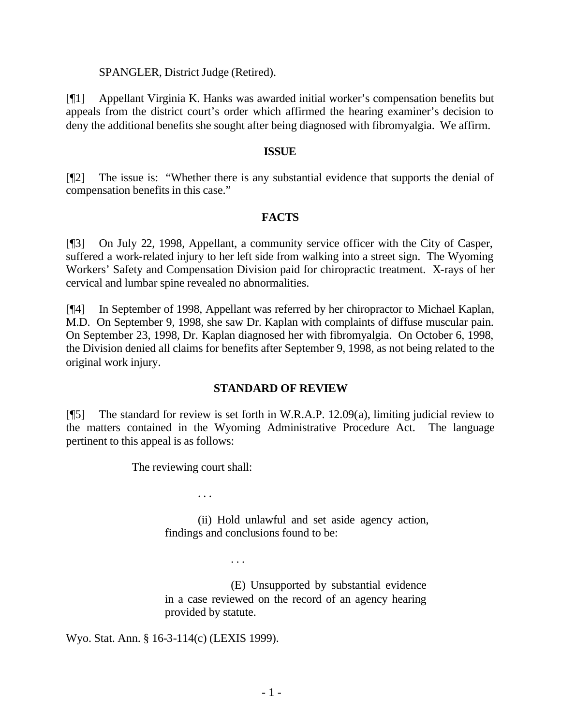#### SPANGLER, District Judge (Retired).

[¶1] Appellant Virginia K. Hanks was awarded initial worker's compensation benefits but appeals from the district court's order which affirmed the hearing examiner's decision to deny the additional benefits she sought after being diagnosed with fibromyalgia. We affirm.

#### **ISSUE**

[¶2] The issue is: "Whether there is any substantial evidence that supports the denial of compensation benefits in this case."

### **FACTS**

[¶3] On July 22, 1998, Appellant, a community service officer with the City of Casper, suffered a work-related injury to her left side from walking into a street sign. The Wyoming Workers' Safety and Compensation Division paid for chiropractic treatment. X-rays of her cervical and lumbar spine revealed no abnormalities.

[¶4] In September of 1998, Appellant was referred by her chiropractor to Michael Kaplan, M.D. On September 9, 1998, she saw Dr. Kaplan with complaints of diffuse muscular pain. On September 23, 1998, Dr. Kaplan diagnosed her with fibromyalgia. On October 6, 1998, the Division denied all claims for benefits after September 9, 1998, as not being related to the original work injury.

### **STANDARD OF REVIEW**

[¶5] The standard for review is set forth in W.R.A.P. 12.09(a), limiting judicial review to the matters contained in the Wyoming Administrative Procedure Act. The language pertinent to this appeal is as follows:

The reviewing court shall:

. . .

. . .

(ii) Hold unlawful and set aside agency action, findings and conclusions found to be:

(E) Unsupported by substantial evidence in a case reviewed on the record of an agency hearing provided by statute.

Wyo. Stat. Ann. § 16-3-114(c) (LEXIS 1999).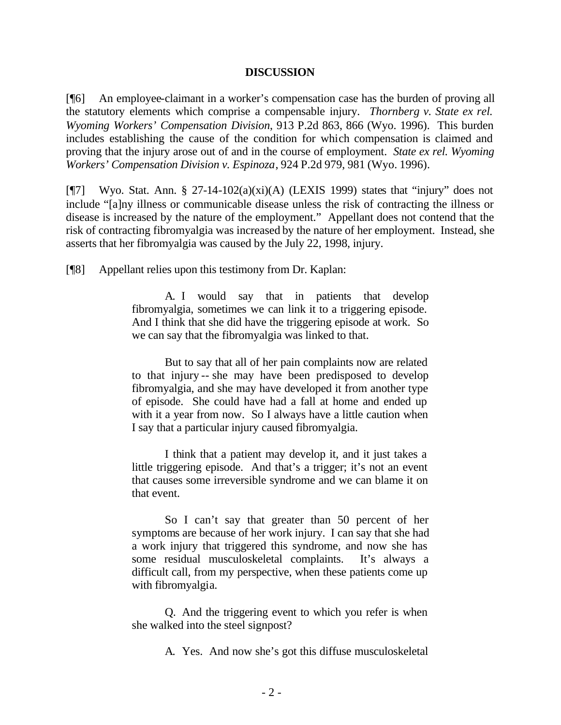#### **DISCUSSION**

[¶6] An employee-claimant in a worker's compensation case has the burden of proving all the statutory elements which comprise a compensable injury. *Thornberg v. State ex rel. Wyoming Workers' Compensation Division*, 913 P.2d 863, 866 (Wyo. 1996). This burden includes establishing the cause of the condition for which compensation is claimed and proving that the injury arose out of and in the course of employment. *State ex rel. Wyoming Workers' Compensation Division v. Espinoza*, 924 P.2d 979, 981 (Wyo. 1996).

[ $\sqrt{7}$ ] Wyo. Stat. Ann. § 27-14-102(a)(xi)(A) (LEXIS 1999) states that "injury" does not include "[a]ny illness or communicable disease unless the risk of contracting the illness or disease is increased by the nature of the employment." Appellant does not contend that the risk of contracting fibromyalgia was increased by the nature of her employment. Instead, she asserts that her fibromyalgia was caused by the July 22, 1998, injury.

[¶8] Appellant relies upon this testimony from Dr. Kaplan:

A. I would say that in patients that develop fibromyalgia, sometimes we can link it to a triggering episode. And I think that she did have the triggering episode at work. So we can say that the fibromyalgia was linked to that.

But to say that all of her pain complaints now are related to that injury -- she may have been predisposed to develop fibromyalgia, and she may have developed it from another type of episode. She could have had a fall at home and ended up with it a year from now. So I always have a little caution when I say that a particular injury caused fibromyalgia.

I think that a patient may develop it, and it just takes a little triggering episode. And that's a trigger; it's not an event that causes some irreversible syndrome and we can blame it on that event.

So I can't say that greater than 50 percent of her symptoms are because of her work injury. I can say that she had a work injury that triggered this syndrome, and now she has some residual musculoskeletal complaints. It's always a difficult call, from my perspective, when these patients come up with fibromyalgia.

Q. And the triggering event to which you refer is when she walked into the steel signpost?

A. Yes. And now she's got this diffuse musculoskeletal